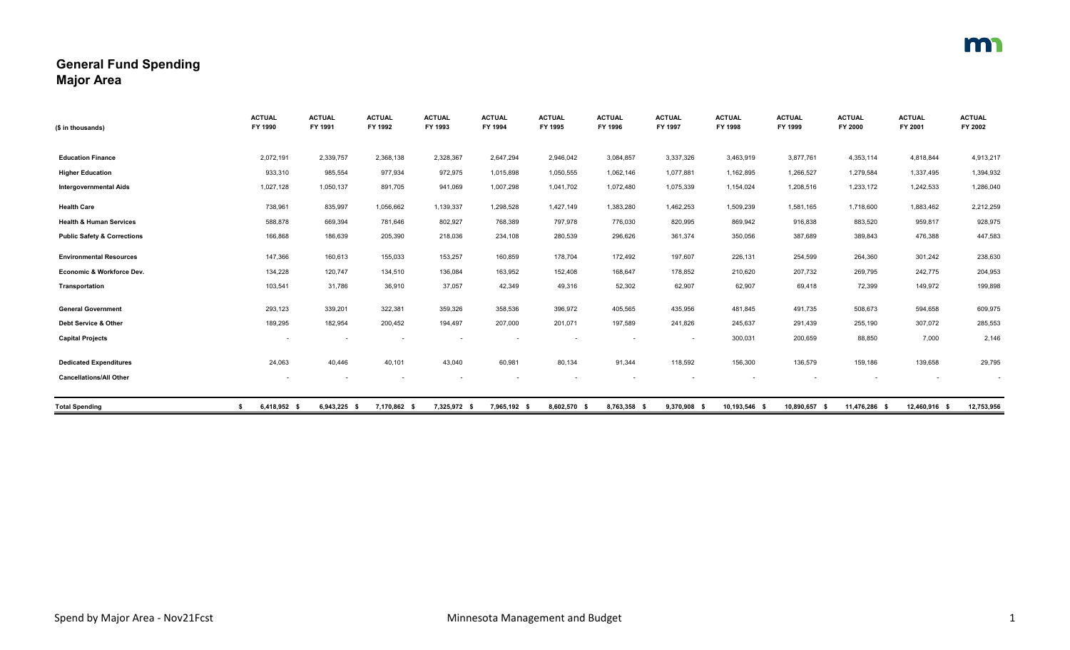## **General Fund Spending Major Area**

| (\$ in thousands)                      | <b>ACTUAL</b><br>FY 1990 | <b>ACTUAL</b><br>FY 1991 | <b>ACTUAL</b><br>FY 1992 | <b>ACTUAL</b><br>FY 1993 | <b>ACTUAL</b><br>FY 1994 | <b>ACTUAL</b><br>FY 1995 | <b>ACTUAL</b><br>FY 1996 | <b>ACTUAL</b><br>FY 1997 | <b>ACTUAL</b><br>FY 1998 | <b>ACTUAL</b><br>FY 1999 | <b>ACTUAL</b><br>FY 2000 | <b>ACTUAL</b><br>FY 2001 | <b>ACTUAL</b><br>FY 2002 |
|----------------------------------------|--------------------------|--------------------------|--------------------------|--------------------------|--------------------------|--------------------------|--------------------------|--------------------------|--------------------------|--------------------------|--------------------------|--------------------------|--------------------------|
|                                        |                          |                          |                          |                          |                          |                          |                          |                          |                          |                          |                          |                          |                          |
| <b>Education Finance</b>               | 2,072,191                | 2,339,757                | 2,368,138                | 2,328,367                | 2,647,294                | 2,946,042                | 3,084,857                | 3,337,326                | 3,463,919                | 3,877,761                | 4,353,114                | 4,818,844                | 4,913,217                |
| <b>Higher Education</b>                | 933,310                  | 985,554                  | 977,934                  | 972,975                  | 1,015,898                | 1,050,555                | 1,062,146                | 1,077,881                | 1,162,895                | 1,266,527                | 1,279,584                | 1,337,495                | 1,394,932                |
| <b>Intergovernmental Aids</b>          | 1,027,128                | 1,050,137                | 891,705                  | 941,069                  | 1,007,298                | 1,041,702                | 1,072,480                | 1,075,339                | 1,154,024                | 1,208,516                | 1,233,172                | 1,242,533                | 1,286,040                |
| <b>Health Care</b>                     | 738,961                  | 835,997                  | 1,056,662                | 1,139,337                | 1,298,528                | 1,427,149                | 1,383,280                | 1,462,253                | 1,509,239                | 1,581,165                | 1,718,600                | 1,883,462                | 2,212,259                |
| <b>Health &amp; Human Services</b>     | 588,878                  | 669,394                  | 781,646                  | 802,927                  | 768,389                  | 797,978                  | 776,030                  | 820,995                  | 869,942                  | 916,838                  | 883,520                  | 959,817                  | 928,975                  |
| <b>Public Safety &amp; Corrections</b> | 166,868                  | 186,639                  | 205,390                  | 218,036                  | 234,108                  | 280,539                  | 296,626                  | 361,374                  | 350,056                  | 387,689                  | 389,843                  | 476,388                  | 447,583                  |
| <b>Environmental Resources</b>         | 147,366                  | 160,613                  | 155,033                  | 153,257                  | 160,859                  | 178,704                  | 172,492                  | 197,607                  | 226,131                  | 254,599                  | 264,360                  | 301,242                  | 238,630                  |
| Economic & Workforce Dev.              | 134,228                  | 120,747                  | 134,510                  | 136,084                  | 163,952                  | 152,408                  | 168,647                  | 178,852                  | 210,620                  | 207,732                  | 269,795                  | 242,775                  | 204,953                  |
| Transportation                         | 103,541                  | 31,786                   | 36,910                   | 37,057                   | 42,349                   | 49,316                   | 52,302                   | 62,907                   | 62,907                   | 69,418                   | 72,399                   | 149,972                  | 199,898                  |
| <b>General Government</b>              | 293,123                  | 339,201                  | 322,381                  | 359,326                  | 358,536                  | 396,972                  | 405,565                  | 435,956                  | 481,845                  | 491,735                  | 508,673                  | 594,658                  | 609,975                  |
| Debt Service & Other                   | 189,295                  | 182,954                  | 200,452                  | 194,497                  | 207,000                  | 201,071                  | 197,589                  | 241,826                  | 245,637                  | 291,439                  | 255,190                  | 307,072                  | 285,553                  |
| <b>Capital Projects</b>                | $\overline{\phantom{a}}$ |                          |                          |                          |                          |                          |                          | $\sim$                   | 300,031                  | 200,659                  | 88,850                   | 7,000                    | 2,146                    |
| <b>Dedicated Expenditures</b>          | 24,063                   | 40,446                   | 40,101                   | 43,040                   | 60,981                   | 80,134                   | 91,344                   | 118,592                  | 156,300                  | 136,579                  | 159,186                  | 139,658                  | 29,795                   |
| <b>Cancellations/All Other</b>         | $\sim$                   | $\sim$                   | $\overline{\phantom{a}}$ | $\sim$                   | $\overline{\phantom{a}}$ |                          | $\overline{\phantom{a}}$ |                          |                          |                          | $\overline{\phantom{a}}$ | $\sim$                   |                          |
| <b>Total Spending</b>                  | 6,418,952 \$             | 6,943,225 \$             | 7,170,862 \$             | 7,325,972 \$             | 7,965,192 \$             | 8,602,570 \$             | 8,763,358 \$             | 9,370,908 \$             | 10,193,546 \$            | 10,890,657 \$            | 11,476,286 \$            | 12,460,916 \$            | 12,753,956               |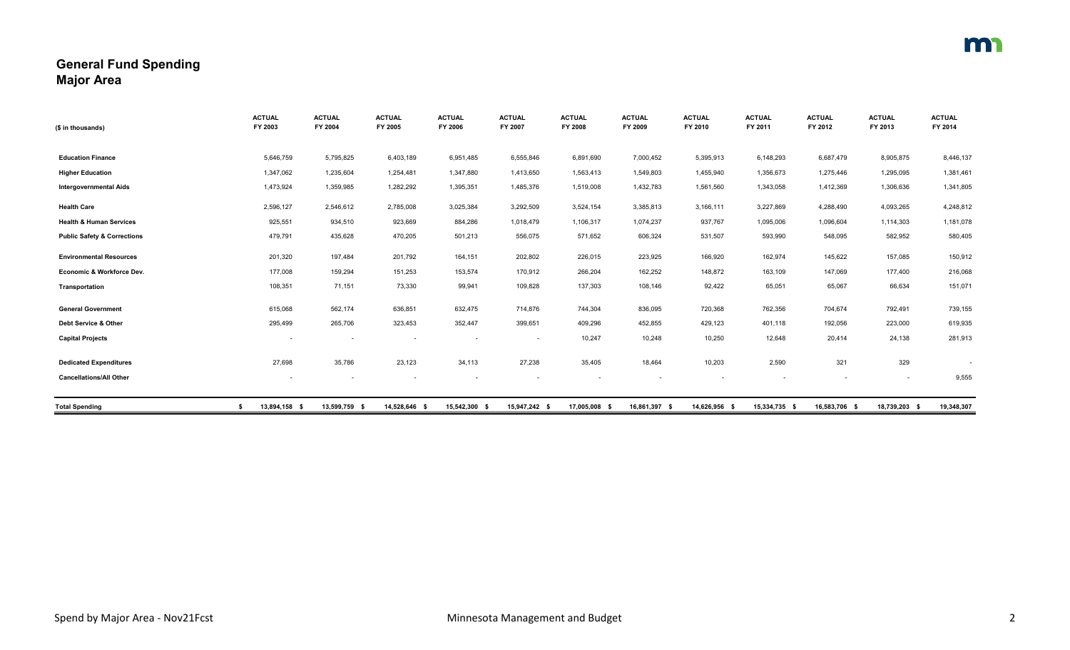## **General Fund Spending Major Area**

| (\$ in thousands)                      | <b>ACTUAL</b><br>FY 2003 | <b>ACTUAL</b><br>FY 2004 | <b>ACTUAL</b><br>FY 2005 | <b>ACTUAL</b><br>FY 2006 | <b>ACTUAL</b><br>FY 2007 | <b>ACTUAL</b><br>FY 2008 | <b>ACTUAL</b><br>FY 2009 | <b>ACTUAL</b><br>FY 2010 | <b>ACTUAL</b><br>FY 2011 | <b>ACTUAL</b><br>FY 2012 | <b>ACTUAL</b><br>FY 2013 | <b>ACTUAL</b><br>FY 2014 |
|----------------------------------------|--------------------------|--------------------------|--------------------------|--------------------------|--------------------------|--------------------------|--------------------------|--------------------------|--------------------------|--------------------------|--------------------------|--------------------------|
|                                        |                          |                          |                          |                          |                          |                          |                          |                          |                          |                          |                          |                          |
| <b>Education Finance</b>               | 5,646,759                | 5,795,825                | 6,403,189                | 6,951,485                | 6,555,846                | 6,891,690                | 7,000,452                | 5,395,913                | 6,148,293                | 6,687,479                | 8,905,875                | 8,446,137                |
| <b>Higher Education</b>                | 1,347,062                | 1,235,604                | 1,254,481                | 1,347,880                | 1,413,650                | 1,563,413                | 1,549,803                | 1,455,940                | 1,356,673                | 1,275,446                | 1,295,095                | 1,381,461                |
| <b>Intergovernmental Aids</b>          | 1,473,924                | 1,359,985                | 1,282,292                | 1,395,351                | 1,485,376                | 1,519,008                | 1,432,783                | 1,561,560                | 1,343,058                | 1,412,369                | 1,306,636                | 1,341,805                |
| <b>Health Care</b>                     | 2,596,127                | 2,546,612                | 2,785,008                | 3,025,384                | 3,292,509                | 3,524,154                | 3,385,813                | 3,166,111                | 3,227,869                | 4,288,490                | 4,093,265                | 4,248,812                |
| <b>Health &amp; Human Services</b>     | 925,551                  | 934,510                  | 923,669                  | 884,286                  | 1,018,479                | 1,106,317                | 1,074,237                | 937,767                  | 1,095,006                | 1,096,604                | 1,114,303                | 1,181,078                |
| <b>Public Safety &amp; Corrections</b> | 479,791                  | 435,628                  | 470,205                  | 501,213                  | 556,075                  | 571,652                  | 606,324                  | 531,507                  | 593,990                  | 548,095                  | 582,952                  | 580,405                  |
| <b>Environmental Resources</b>         | 201,320                  | 197,484                  | 201,792                  | 164,151                  | 202,802                  | 226,015                  | 223,925                  | 166,920                  | 162,974                  | 145,622                  | 157,085                  | 150,912                  |
| Economic & Workforce Dev.              | 177,008                  | 159,294                  | 151,253                  | 153,574                  | 170,912                  | 266,204                  | 162,252                  | 148,872                  | 163,109                  | 147,069                  | 177,400                  | 216,068                  |
| Transportation                         | 108,351                  | 71,151                   | 73,330                   | 99,941                   | 109,828                  | 137,303                  | 108,146                  | 92,422                   | 65,051                   | 65,067                   | 66,634                   | 151,071                  |
| <b>General Government</b>              | 615,068                  | 562,174                  | 636,851                  | 632,475                  | 714,876                  | 744,304                  | 836,095                  | 720,368                  | 762,356                  | 704,674                  | 792,491                  | 739,155                  |
| Debt Service & Other                   | 295,499                  | 265,706                  | 323,453                  | 352,447                  | 399,651                  | 409,296                  | 452,855                  | 429,123                  | 401,118                  | 192,056                  | 223,000                  | 619,935                  |
| <b>Capital Projects</b>                | $\overline{\phantom{a}}$ |                          |                          |                          | $\sim$                   | 10,247                   | 10,248                   | 10,250                   | 12,648                   | 20,414                   | 24,138                   | 281,913                  |
| <b>Dedicated Expenditures</b>          | 27,698                   | 35,786                   | 23,123                   | 34,113                   | 27,238                   | 35,405                   | 18,464                   | 10,203                   | 2,590                    | 321                      | 329                      |                          |
| <b>Cancellations/All Other</b>         |                          |                          |                          |                          |                          |                          |                          |                          |                          |                          | $\sim$                   | 9,555                    |
| <b>Total Spending</b>                  | 13,894,158 \$<br>\$      | 13,599,759 \$            | 14,528,646 \$            | 15,542,300 \$            | 15,947,242 \$            | 17,005,008 \$            | 16,861,397 \$            | 14,626,956 \$            | 15,334,735 \$            | 16,583,706 \$            | 18,739,203 \$            | 19,348,307               |